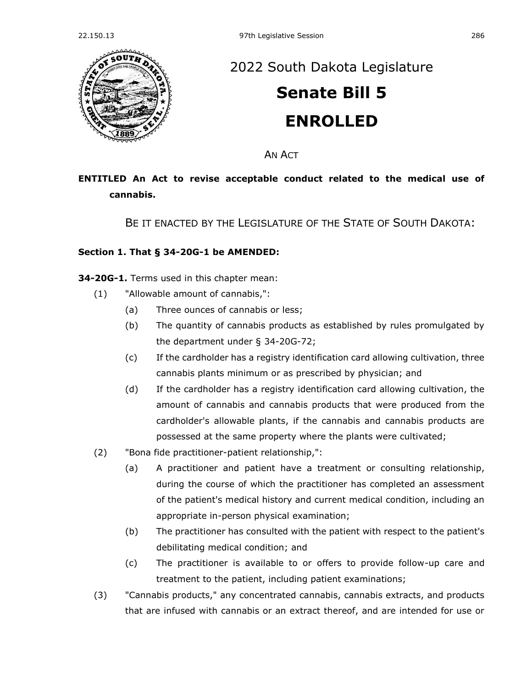

## [2022 South Dakota Legislature](https://sdlegislature.gov/Session/Bills/64)

# **[Senate Bill 5](https://sdlegislature.gov/Session/Bill/22703) ENROLLED**

AN ACT

### **ENTITLED An Act to revise acceptable conduct related to the medical use of cannabis.**

BE IT ENACTED BY THE LEGISLATURE OF THE STATE OF SOUTH DAKOTA:

#### **Section 1. [That § 34-20G-1 be AMENDED:](https://sdlegislature.gov/Statutes?Statute=34-20G-1)**

**[34-20G-1.](https://sdlegislature.gov/Statutes?Statute=34-20G-1)** Terms used in this chapter mean:

- (1) "Allowable amount of cannabis,":
	- (a) Three ounces of cannabis or less;
	- (b) The quantity of cannabis products as established by rules promulgated by the department under § [34-20G-72;](https://sdlegislature.gov/Statutes?Statute=34-20G-72)
	- (c) If the cardholder has a registry identification card allowing cultivation, three cannabis plants minimum or as prescribed by physician; and
	- (d) If the cardholder has a registry identification card allowing cultivation, the amount of cannabis and cannabis products that were produced from the cardholder's allowable plants, if the cannabis and cannabis products are possessed at the same property where the plants were cultivated;
- (2) "Bona fide practitioner-patient relationship,":
	- (a) A practitioner and patient have a treatment or consulting relationship, during the course of which the practitioner has completed an assessment of the patient's medical history and current medical condition, including an appropriate in-person physical examination;
	- (b) The practitioner has consulted with the patient with respect to the patient's debilitating medical condition; and
	- (c) The practitioner is available to or offers to provide follow-up care and treatment to the patient, including patient examinations;
- (3) "Cannabis products," any concentrated cannabis, cannabis extracts, and products that are infused with cannabis or an extract thereof, and are intended for use or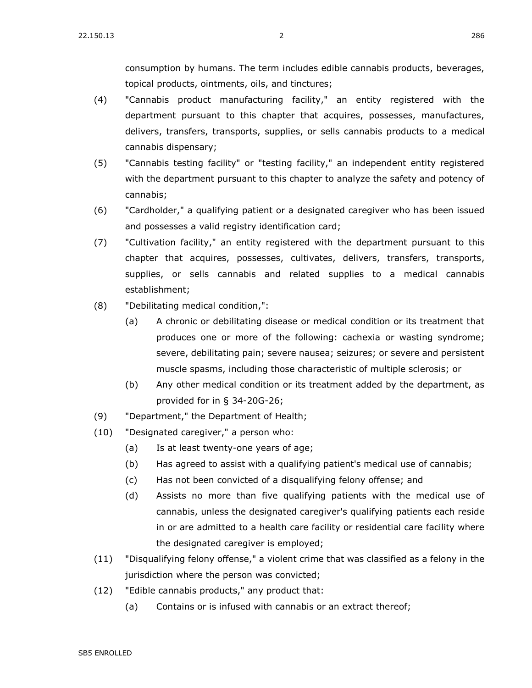consumption by humans. The term includes edible cannabis products, beverages, topical products, ointments, oils, and tinctures;

- (4) "Cannabis product manufacturing facility," an entity registered with the department pursuant to this chapter that acquires, possesses, manufactures, delivers, transfers, transports, supplies, or sells cannabis products to a medical cannabis dispensary;
- (5) "Cannabis testing facility" or "testing facility," an independent entity registered with the department pursuant to this chapter to analyze the safety and potency of cannabis;
- (6) "Cardholder," a qualifying patient or a designated caregiver who has been issued and possesses a valid registry identification card;
- (7) "Cultivation facility," an entity registered with the department pursuant to this chapter that acquires, possesses, cultivates, delivers, transfers, transports, supplies, or sells cannabis and related supplies to a medical cannabis establishment;
- (8) "Debilitating medical condition,":
	- (a) A chronic or debilitating disease or medical condition or its treatment that produces one or more of the following: cachexia or wasting syndrome; severe, debilitating pain; severe nausea; seizures; or severe and persistent muscle spasms, including those characteristic of multiple sclerosis; or
	- (b) Any other medical condition or its treatment added by the department, as provided for in § [34-20G-26;](https://sdlegislature.gov/Statutes?Statute=34-20G-26)
- (9) "Department," the Department of Health;
- (10) "Designated caregiver," a person who:
	- (a) Is at least twenty-one years of age;
	- (b) Has agreed to assist with a qualifying patient's medical use of cannabis;
	- (c) Has not been convicted of a disqualifying felony offense; and
	- (d) Assists no more than five qualifying patients with the medical use of cannabis, unless the designated caregiver's qualifying patients each reside in or are admitted to a health care facility or residential care facility where the designated caregiver is employed;
- (11) "Disqualifying felony offense," a violent crime that was classified as a felony in the jurisdiction where the person was convicted;
- (12) "Edible cannabis products," any product that:
	- (a) Contains or is infused with cannabis or an extract thereof;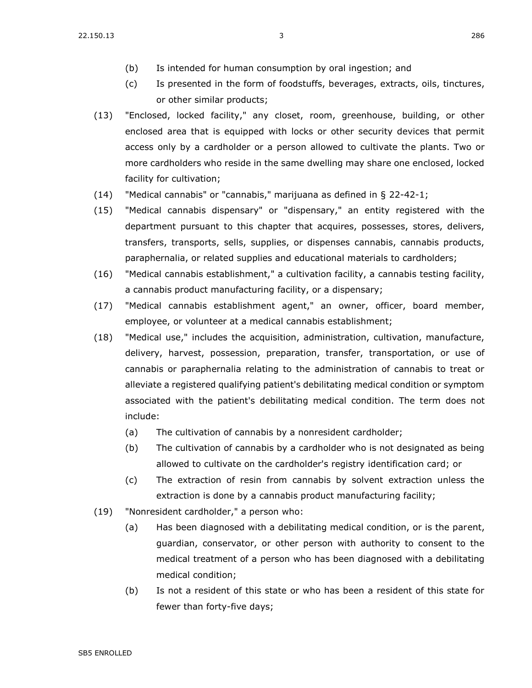- (b) Is intended for human consumption by oral ingestion; and
- (c) Is presented in the form of foodstuffs, beverages, extracts, oils, tinctures, or other similar products;
- (13) "Enclosed, locked facility," any closet, room, greenhouse, building, or other enclosed area that is equipped with locks or other security devices that permit access only by a cardholder or a person allowed to cultivate the plants. Two or more cardholders who reside in the same dwelling may share one enclosed, locked facility for cultivation;
- $(14)$  "Medical cannabis" or "cannabis," marijuana as defined in § [22-42-1;](https://sdlegislature.gov/Statutes?Statute=22-42-1)
- (15) "Medical cannabis dispensary" or "dispensary," an entity registered with the department pursuant to this chapter that acquires, possesses, stores, delivers, transfers, transports, sells, supplies, or dispenses cannabis, cannabis products, paraphernalia, or related supplies and educational materials to cardholders;
- (16) "Medical cannabis establishment," a cultivation facility, a cannabis testing facility, a cannabis product manufacturing facility, or a dispensary;
- (17) "Medical cannabis establishment agent," an owner, officer, board member, employee, or volunteer at a medical cannabis establishment;
- (18) "Medical use," includes the acquisition, administration, cultivation, manufacture, delivery, harvest, possession, preparation, transfer, transportation, or use of cannabis or paraphernalia relating to the administration of cannabis to treat or alleviate a registered qualifying patient's debilitating medical condition or symptom associated with the patient's debilitating medical condition. The term does not include:
	- (a) The cultivation of cannabis by a nonresident cardholder;
	- (b) The cultivation of cannabis by a cardholder who is not designated as being allowed to cultivate on the cardholder's registry identification card; or
	- (c) The extraction of resin from cannabis by solvent extraction unless the extraction is done by a cannabis product manufacturing facility;
- (19) "Nonresident cardholder," a person who:
	- (a) Has been diagnosed with a debilitating medical condition, or is the parent, guardian, conservator, or other person with authority to consent to the medical treatment of a person who has been diagnosed with a debilitating medical condition;
	- (b) Is not a resident of this state or who has been a resident of this state for fewer than forty-five days;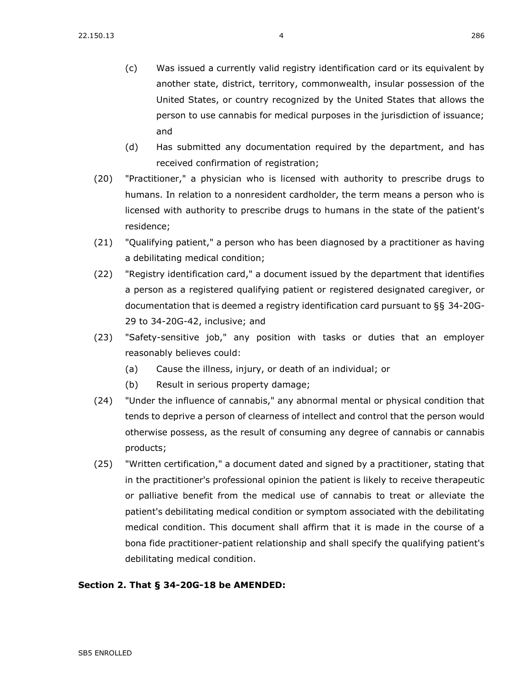- (c) Was issued a currently valid registry identification card or its equivalent by another state, district, territory, commonwealth, insular possession of the United States, or country recognized by the United States that allows the person to use cannabis for medical purposes in the jurisdiction of issuance; and
- (d) Has submitted any documentation required by the department, and has received confirmation of registration;
- (20) "Practitioner," a physician who is licensed with authority to prescribe drugs to humans. In relation to a nonresident cardholder, the term means a person who is licensed with authority to prescribe drugs to humans in the state of the patient's residence;
- (21) "Qualifying patient," a person who has been diagnosed by a practitioner as having a debilitating medical condition;
- (22) "Registry identification card," a document issued by the department that identifies a person as a registered qualifying patient or registered designated caregiver, or documentation that is deemed a registry identification card pursuant to §§ [34-20G-](https://sdlegislature.gov/Statutes?Statute=34-20G-29)[29](https://sdlegislature.gov/Statutes?Statute=34-20G-29) to [34-20G-42,](https://sdlegislature.gov/Statutes?Statute=34-20G-42) inclusive; and
- (23) "Safety-sensitive job," any position with tasks or duties that an employer reasonably believes could:
	- (a) Cause the illness, injury, or death of an individual; or
	- (b) Result in serious property damage;
- (24) "Under the influence of cannabis," any abnormal mental or physical condition that tends to deprive a person of clearness of intellect and control that the person would otherwise possess, as the result of consuming any degree of cannabis or cannabis products;
- (25) "Written certification," a document dated and signed by a practitioner, stating that in the practitioner's professional opinion the patient is likely to receive therapeutic or palliative benefit from the medical use of cannabis to treat or alleviate the patient's debilitating medical condition or symptom associated with the debilitating medical condition. This document shall affirm that it is made in the course of a bona fide practitioner-patient relationship and shall specify the qualifying patient's debilitating medical condition.

#### **Section 2. [That § 34-20G-18 be AMENDED:](https://sdlegislature.gov/Statutes?Statute=34-20G-18)**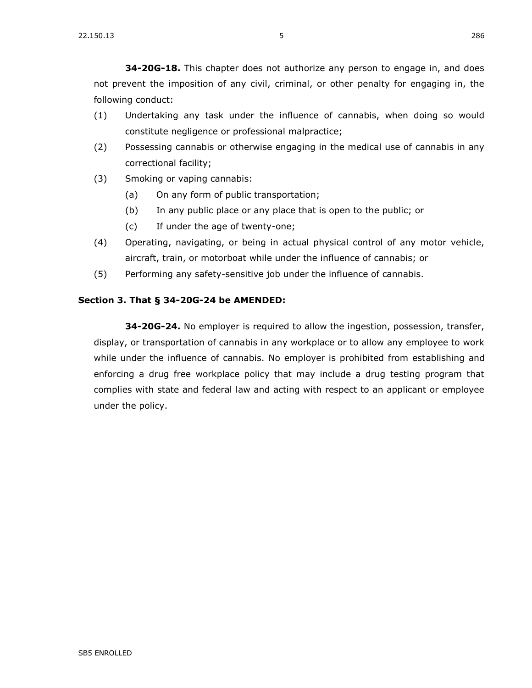**[34-20G-18.](https://sdlegislature.gov/Statutes?Statute=34-20G-18)** This chapter does not authorize any person to engage in, and does not prevent the imposition of any civil, criminal, or other penalty for engaging in, the following conduct:

- (1) Undertaking any task under the influence of cannabis, when doing so would constitute negligence or professional malpractice;
- (2) Possessing cannabis or otherwise engaging in the medical use of cannabis in any correctional facility;
- (3) Smoking or vaping cannabis:
	- (a) On any form of public transportation;
	- (b) In any public place or any place that is open to the public; or
	- (c) If under the age of twenty-one;
- (4) Operating, navigating, or being in actual physical control of any motor vehicle, aircraft, train, or motorboat while under the influence of cannabis; or
- (5) Performing any safety-sensitive job under the influence of cannabis.

#### **Section 3. [That § 34-20G-24 be AMENDED:](https://sdlegislature.gov/Statutes?Statute=34-20G-24)**

**[34-20G-24.](https://sdlegislature.gov/Statutes?Statute=34-20G-24)** No employer is required to allow the ingestion, possession, transfer, display, or transportation of cannabis in any workplace or to allow any employee to work while under the influence of cannabis. No employer is prohibited from establishing and enforcing a drug free workplace policy that may include a drug testing program that complies with state and federal law and acting with respect to an applicant or employee under the policy.